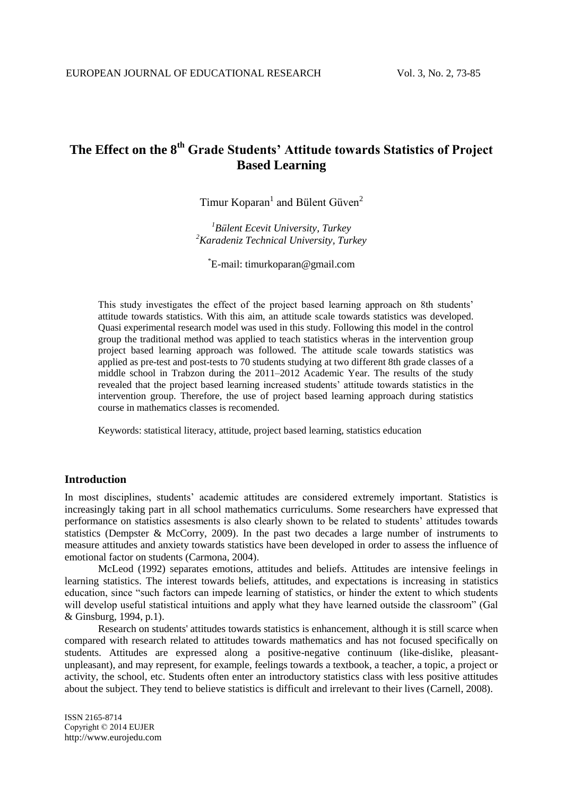# **The Effect on the 8th Grade Students' Attitude towards Statistics of Project Based Learning**

Timur Koparan<sup>1</sup> and Bülent Güven<sup>2</sup>

*<sup>1</sup>Bülent Ecevit University, Turkey <sup>2</sup>Karadeniz Technical University, Turkey* 

\* E-mail: timurkoparan@gmail.com

This study investigates the effect of the project based learning approach on 8th students' attitude towards statistics. With this aim, an attitude scale towards statistics was developed. Quasi experimental research model was used in this study. Following this model in the control group the traditional method was applied to teach statistics wheras in the intervention group project based learning approach was followed. The attitude scale towards statistics was applied as pre-test and post-tests to 70 students studying at two different 8th grade classes of a middle school in Trabzon during the 2011–2012 Academic Year. The results of the study revealed that the project based learning increased students' attitude towards statistics in the intervention group. Therefore, the use of project based learning approach during statistics course in mathematics classes is recomended.

Keywords: statistical literacy, attitude, project based learning, statistics education

### **Introduction**

In most disciplines, students' academic attitudes are considered extremely important. Statistics is increasingly taking part in all school mathematics curriculums. Some researchers have expressed that performance on statistics assesments is also clearly shown to be related to students' attitudes towards statistics (Dempster & McCorry, 2009). In the past two decades a large number of instruments to measure attitudes and anxiety towards statistics have been developed in order to assess the influence of emotional factor on students (Carmona, 2004).

McLeod (1992) separates emotions, attitudes and beliefs. Attitudes are intensive feelings in learning statistics. The interest towards beliefs, attitudes, and expectations is increasing in statistics education, since "such factors can impede learning of statistics, or hinder the extent to which students will develop useful statistical intuitions and apply what they have learned outside the classroom" (Gal & Ginsburg, 1994, p.1).

Research on students' attitudes towards statistics is enhancement, although it is still scarce when compared with research related to attitudes towards mathematics and has not focused specifically on students. Attitudes are expressed along a positive-negative continuum (like-dislike, pleasantunpleasant), and may represent, for example, feelings towards a textbook, a teacher, a topic, a project or activity, the school, etc. Students often enter an introductory statistics class with less positive attitudes about the subject. They tend to believe statistics is difficult and irrelevant to their lives (Carnell, 2008).

ISSN 2165-8714 Copyright © 2014 EUJER http://www.eurojedu.com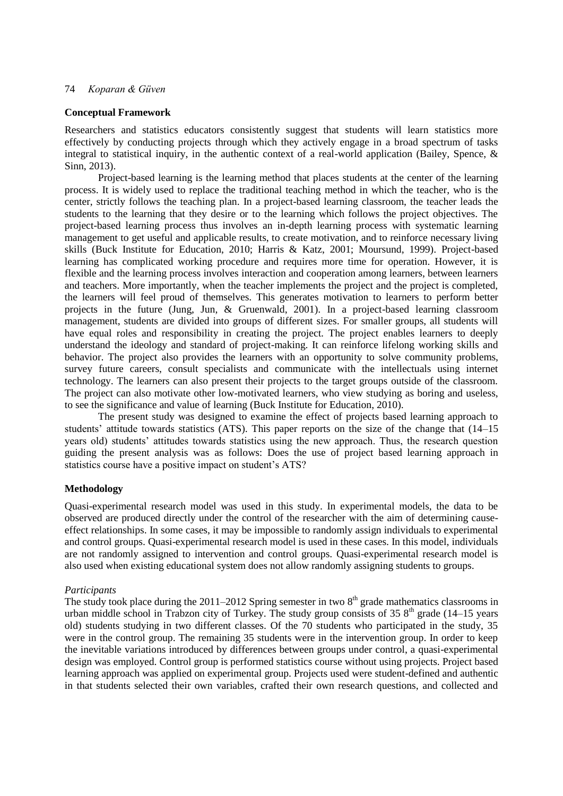### **Conceptual Framework**

Researchers and statistics educators consistently suggest that students will learn statistics more effectively by conducting projects through which they actively engage in a broad spectrum of tasks integral to statistical inquiry, in the authentic context of a real-world application (Bailey, Spence,  $\&$ Sinn, 2013).

Project-based learning is the learning method that places students at the center of the learning process. It is widely used to replace the traditional teaching method in which the teacher, who is the center, strictly follows the teaching plan. In a project-based learning classroom, the teacher leads the students to the learning that they desire or to the learning which follows the project objectives. The project-based learning process thus involves an in-depth learning process with systematic learning management to get useful and applicable results, to create motivation, and to reinforce necessary living skills (Buck Institute for Education, 2010; Harris & Katz, 2001; Moursund, 1999). Project-based learning has complicated working procedure and requires more time for operation. However, it is flexible and the learning process involves interaction and cooperation among learners, between learners and teachers. More importantly, when the teacher implements the project and the project is completed, the learners will feel proud of themselves. This generates motivation to learners to perform better projects in the future (Jung, Jun, & Gruenwald, 2001). In a project-based learning classroom management, students are divided into groups of different sizes. For smaller groups, all students will have equal roles and responsibility in creating the project. The project enables learners to deeply understand the ideology and standard of project-making. It can reinforce lifelong working skills and behavior. The project also provides the learners with an opportunity to solve community problems, survey future careers, consult specialists and communicate with the intellectuals using internet technology. The learners can also present their projects to the target groups outside of the classroom. The project can also motivate other low-motivated learners, who view studying as boring and useless, to see the significance and value of learning (Buck Institute for Education, 2010).

The present study was designed to examine the effect of projects based learning approach to students' attitude towards statistics (ATS). This paper reports on the size of the change that (14–15 years old) students' attitudes towards statistics using the new approach. Thus, the research question guiding the present analysis was as follows: Does the use of project based learning approach in statistics course have a positive impact on student's ATS?

### **Methodology**

Quasi-experimental research model was used in this study. In experimental models, the data to be observed are produced directly under the control of the researcher with the aim of determining causeeffect relationships. In some cases, it may be impossible to randomly assign individuals to experimental and control groups. Quasi-experimental research model is used in these cases. In this model, individuals are not randomly assigned to intervention and control groups. Quasi-experimental research model is also used when existing educational system does not allow randomly assigning students to groups.

### *Participants*

The study took place during the 2011–2012 Spring semester in two  $8<sup>th</sup>$  grade mathematics classrooms in urban middle school in Trabzon city of Turkey. The study group consists of 35  $8<sup>th</sup>$  grade (14–15 years old) students studying in two different classes. Of the 70 students who participated in the study, 35 were in the control group. The remaining 35 students were in the intervention group. In order to keep the inevitable variations introduced by differences between groups under control, a quasi-experimental design was employed. Control group is performed statistics course without using projects. Project based learning approach was applied on experimental group. Projects used were student-defined and authentic in that students selected their own variables, crafted their own research questions, and collected and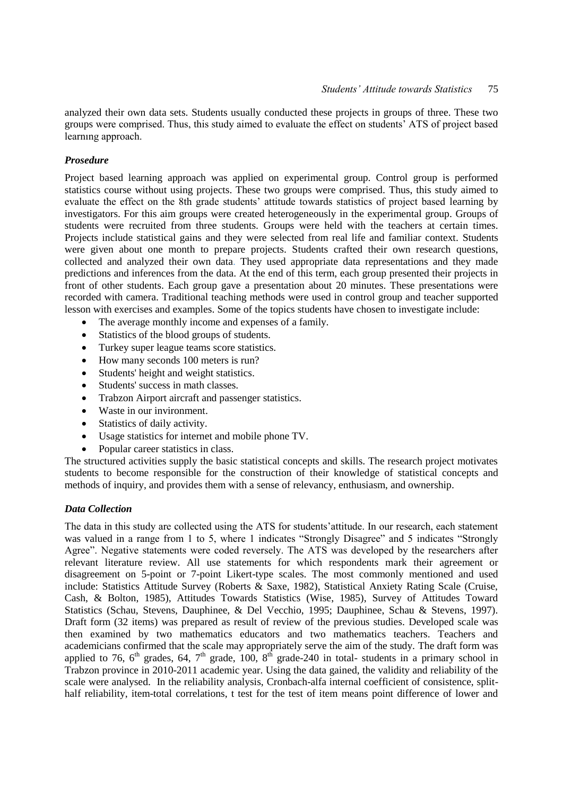analyzed their own data sets. Students usually conducted these projects in groups of three. These two groups were comprised. Thus, this study aimed to evaluate the effect on students' ATS of project based learnıng approach.

### *Prosedure*

Project based learning approach was applied on experimental group. Control group is performed statistics course without using projects. These two groups were comprised. Thus, this study aimed to evaluate the effect on the 8th grade students' attitude towards statistics of project based learning by investigators. For this aim groups were created heterogeneously in the experimental group. Groups of students were recruited from three students. Groups were held with the teachers at certain times. Projects include statistical gains and they were selected from real life and familiar context. Students were given about one month to prepare projects. Students crafted their own research questions, collected and analyzed their own data. They used appropriate data representations and they made predictions and inferences from the data. At the end of this term, each group presented their projects in front of other students. Each group gave a presentation about 20 minutes. These presentations were recorded with camera. Traditional teaching methods were used in control group and teacher supported lesson with exercises and examples. Some of the topics students have chosen to investigate include:

- The average monthly income and expenses of a family.
- Statistics of the blood groups of students.
- Turkey super league teams score statistics.
- How many seconds 100 meters is run?
- Students' height and weight statistics.
- Students' success in math classes.
- Trabzon Airport aircraft and passenger statistics.
- Waste in our invironment.
- Statistics of daily activity.
- Usage statistics for internet and mobile phone TV.
- Popular career statistics in class.

The structured activities supply the basic statistical concepts and skills. The research project motivates students to become responsible for the construction of their knowledge of statistical concepts and methods of inquiry, and provides them with a sense of relevancy, enthusiasm, and ownership.

### *Data Collection*

The data in this study are collected using the ATS for students'attitude. In our research, each statement was valued in a range from 1 to 5, where 1 indicates "Strongly Disagree" and 5 indicates "Strongly Agree". Negative statements were coded reversely. The ATS was developed by the researchers after relevant literature review. All use statements for which respondents mark their agreement or disagreement on 5-point or 7-point Likert-type scales. The most commonly mentioned and used include: Statistics Attitude Survey (Roberts & Saxe, 1982), Statistical Anxiety Rating Scale (Cruise, Cash, & Bolton, 1985), Attitudes Towards Statistics (Wise, 1985), Survey of Attitudes Toward Statistics (Schau, Stevens, Dauphinee, & Del Vecchio, 1995; Dauphinee, Schau & Stevens, 1997). Draft form (32 items) was prepared as result of review of the previous studies. Developed scale was then examined by two mathematics educators and two mathematics teachers. Teachers and academicians confirmed that the scale may appropriately serve the aim of the study. The draft form was applied to 76,  $6<sup>th</sup>$  grades, 64,  $7<sup>th</sup>$  grade, 100,  $8<sup>th</sup>$  grade-240 in total- students in a primary school in Trabzon province in 2010-2011 academic year. Using the data gained, the validity and reliability of the scale were analysed. In the reliability analysis, Cronbach-alfa internal coefficient of consistence, splithalf reliability, item-total correlations, t test for the test of item means point difference of lower and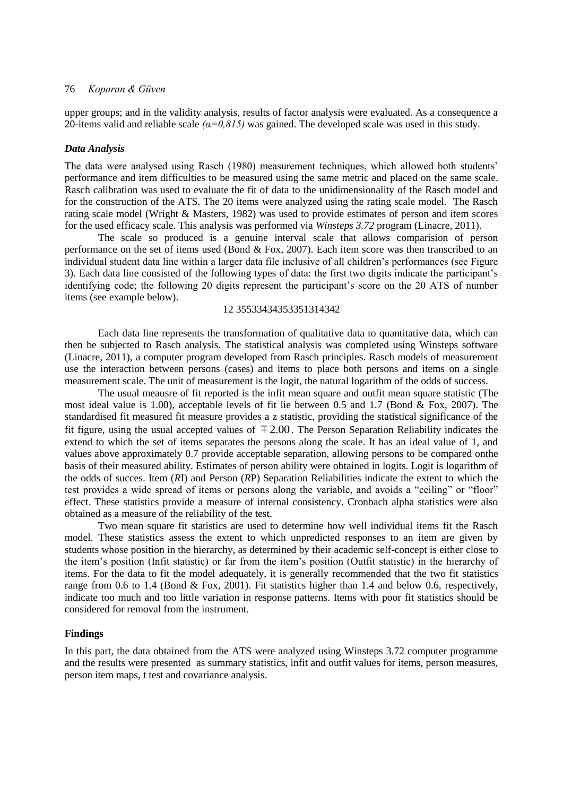upper groups; and in the validity analysis, results of factor analysis were evaluated. As a consequence a 20-items valid and reliable scale *(α=0,815)* was gained. The developed scale was used in this study.

#### *Data Analysis*

The data were analysed using Rasch (1980) measurement techniques, which allowed both students' performance and item difficulties to be measured using the same metric and placed on the same scale. Rasch calibration was used to evaluate the fit of data to the unidimensionality of the Rasch model and for the construction of the ATS. The 20 items were analyzed using the rating scale model. The Rasch rating scale model (Wright & Masters, 1982) was used to provide estimates of person and item scores for the used efficacy scale. This analysis was performed via *Winsteps 3.72* program (Linacre, 2011).

The scale so produced is a genuine interval scale that allows comparision of person performance on the set of items used (Bond & Fox, 2007). Each item score was then transcribed to an individual student data line within a larger data file inclusive of all children's performances (see Figure 3). Each data line consisted of the following types of data: the first two digits indicate the participant's identifying code; the following 20 digits represent the participant's score on the 20 ATS of number items (see example below).

### 12 35533434353351314342

Each data line represents the transformation of qualitative data to quantitative data, which can then be subjected to Rasch analysis. The statistical analysis was completed using Winsteps software (Linacre, 2011), a computer program developed from Rasch principles. Rasch models of measurement use the interaction between persons (cases) and items to place both persons and items on a single measurement scale. The unit of measurement is the logit, the natural logarithm of the odds of success.

The usual meausre of fit reported is the infit mean square and outfit mean square statistic (The most ideal value is 1.00), acceptable levels of fit lie between 0.5 and 1.7 (Bond & Fox, 2007). The standardised fit measured fit measure provides a z statistic, providing the statistical significance of the fit figure, using the usual accepted values of  $\pm 2.00$ . The Person Separation Reliability indicates the extend to which the set of items separates the persons along the scale. It has an ideal value of 1, and values above approximately 0.7 provide acceptable separation, allowing persons to be compared onthe basis of their measured ability. Estimates of person ability were obtained in logits. Logit is logarithm of the odds of succes. Item (*R*I) and Person (*R*P) Separation Reliabilities indicate the extent to which the test provides a wide spread of items or persons along the variable, and avoids a "ceiling" or "floor" effect. These statistics provide a measure of internal consistency. Cronbach alpha statistics were also obtained as a measure of the reliability of the test.

Two mean square fit statistics are used to determine how well individual items fit the Rasch model. These statistics assess the extent to which unpredicted responses to an item are given by students whose position in the hierarchy, as determined by their academic self-concept is either close to the item's position (Infit statistic) or far from the item's position (Outfit statistic) in the hierarchy of items. For the data to fit the model adequately, it is generally recommended that the two fit statistics range from 0.6 to 1.4 (Bond & Fox, 2001). Fit statistics higher than 1.4 and below 0.6, respectively, indicate too much and too little variation in response patterns. Items with poor fit statistics should be considered for removal from the instrument.

### **Findings**

In this part, the data obtained from the ATS were analyzed using Winsteps 3.72 computer programme and the results were presented as summary statistics, infit and outfit values for items, person measures, person item maps, t test and covariance analysis.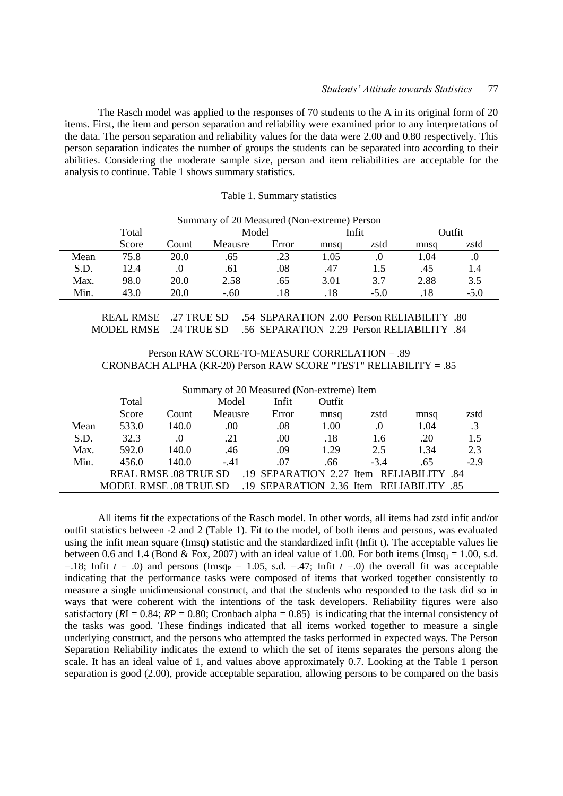The Rasch model was applied to the responses of 70 students to the A in its original form of 20 items. First, the item and person separation and reliability were examined prior to any interpretations of the data. The person separation and reliability values for the data were 2.00 and 0.80 respectively. This person separation indicates the number of groups the students can be separated into according to their abilities. Considering the moderate sample size, person and item reliabilities are acceptable for the analysis to continue. Table 1 shows summary statistics.

|  |  | Table 1. Summary statistics |  |
|--|--|-----------------------------|--|
|--|--|-----------------------------|--|

|      | Summary of 20 Measured (Non-extreme) Person |       |                          |         |      |        |      |        |  |  |
|------|---------------------------------------------|-------|--------------------------|---------|------|--------|------|--------|--|--|
|      | Total                                       |       | Model<br>Infit<br>Outfit |         |      |        |      |        |  |  |
|      | Score                                       | Count | Meausre                  | Error   | mnsq | zstd   | mnsa | zstd   |  |  |
| Mean | 75.8                                        | 20.0  | .65                      | .23     | 1.05 | .0     | 1.04 | J.     |  |  |
| S.D. | 12.4                                        | .0    | .61                      | $.08\,$ | .47  |        | .45  |        |  |  |
| Max. | 98.0                                        | 20.0  | 2.58                     | .65     | 3.01 | 3.7    | 2.88 | 3.5    |  |  |
| Min. | 43.0                                        | 20.0  | $-.60$                   | .18     | .18  | $-5.0$ | .18  | $-5.0$ |  |  |

 REAL RMSE .27 TRUE SD .54 SEPARATION 2.00 Person RELIABILITY .80 MODEL RMSE .24 TRUE SD .56 SEPARATION 2.29 Person RELIABILITY .84

Person RAW SCORE-TO-MEASURE CORRELATION = .89 CRONBACH ALPHA (KR-20) Person RAW SCORE "TEST" RELIABILITY = .85

|      |                               |                              | Summary of 20 Measured (Non-extreme) Item |       |        |                                          |      |        |
|------|-------------------------------|------------------------------|-------------------------------------------|-------|--------|------------------------------------------|------|--------|
|      | Total                         |                              | Model                                     | Infit | Outfit |                                          |      |        |
|      | Score                         | Count                        | Meausre                                   | Error | mnsq   | zstd                                     | mnsq | zstd   |
| Mean | 533.0                         | 140.0                        | .00                                       | .08   | 1.00   | .0                                       | 1.04 |        |
| S.D. | 32.3                          | .0                           | .21                                       | .00   | .18    | 1.6                                      | .20  | 1.5    |
| Max. | 592.0                         | 140.0                        | .46                                       | .09   | 1.29   | 2.5                                      | 1.34 | 2.3    |
| Min. | 456.0                         | 140.0                        | $-.41$                                    | .07   | .66    | $-3.4$                                   | .65  | $-2.9$ |
|      |                               | <b>REAL RMSE .08 TRUE SD</b> |                                           |       |        | .19 SEPARATION 2.27 Item RELIABILITY .84 |      |        |
|      | <b>MODEL RMSE .08 TRUE SD</b> |                              |                                           |       |        | .19 SEPARATION 2.36 Item RELIABILITY .85 |      |        |

All items fit the expectations of the Rasch model. In other words, all items had zstd infit and/or outfit statistics between -2 and 2 (Table 1). Fit to the model, of both items and persons, was evaluated using the infit mean square (Imsq) statistic and the standardized infit (Infit t). The acceptable values lie between 0.6 and 1.4 (Bond & Fox, 2007) with an ideal value of 1.00. For both items (Imsq<sub>I</sub> = 1.00, s.d. =.18; Infit  $t = .0$ ) and persons (Imsq<sub>P</sub> = 1.05, s.d. =.47; Infit  $t = .0$ ) the overall fit was acceptable indicating that the performance tasks were composed of items that worked together consistently to measure a single unidimensional construct, and that the students who responded to the task did so in ways that were coherent with the intentions of the task developers. Reliability figures were also satisfactory ( $R$ I = 0.84;  $RP = 0.80$ ; Cronbach alpha = 0.85) is indicating that the internal consistency of the tasks was good. These findings indicated that all items worked together to measure a single underlying construct, and the persons who attempted the tasks performed in expected ways. The Person Separation Reliability indicates the extend to which the set of items separates the persons along the scale. It has an ideal value of 1, and values above approximately 0.7. Looking at the Table 1 person separation is good (2.00), provide acceptable separation, allowing persons to be compared on the basis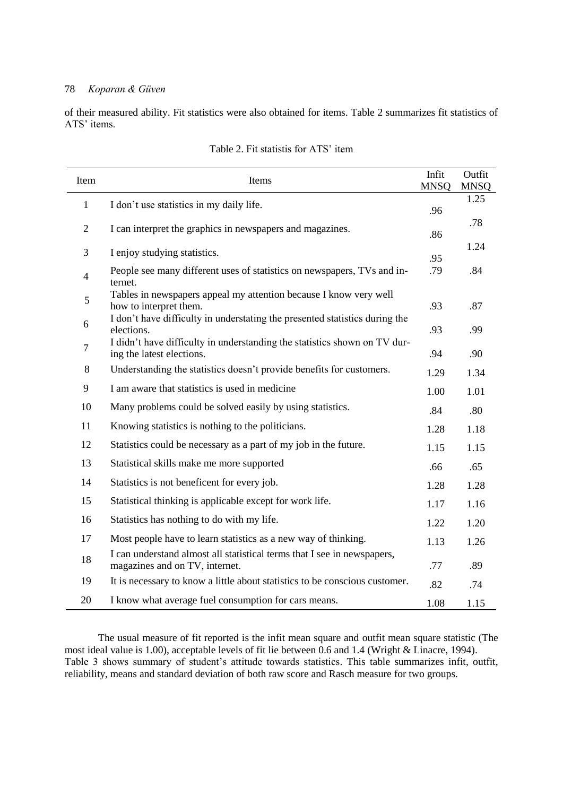÷

 $\overline{a}$ 

of their measured ability. Fit statistics were also obtained for items. Table 2 summarizes fit statistics of ATS' items.

| Item           | Items                                                                                                     | Infit<br><b>MNSQ</b> | Outfit<br><b>MNSQ</b> |
|----------------|-----------------------------------------------------------------------------------------------------------|----------------------|-----------------------|
| $\mathbf{1}$   | I don't use statistics in my daily life.                                                                  | .96                  | 1.25                  |
| $\overline{2}$ | I can interpret the graphics in newspapers and magazines.                                                 | .86                  | .78                   |
| 3              | I enjoy studying statistics.                                                                              | .95                  | 1.24                  |
| $\overline{4}$ | People see many different uses of statistics on newspapers, TVs and in-<br>ternet.                        | .79                  | .84                   |
| 5              | Tables in newspapers appeal my attention because I know very well<br>how to interpret them.               | .93                  | .87                   |
| 6              | I don't have difficulty in understating the presented statistics during the<br>elections.                 | .93                  | .99                   |
| $\overline{7}$ | I didn't have difficulty in understanding the statistics shown on TV dur-<br>ing the latest elections.    | .94                  | .90                   |
| 8              | Understanding the statistics doesn't provide benefits for customers.                                      | 1.29                 | 1.34                  |
| 9              | I am aware that statistics is used in medicine                                                            | 1.00                 | 1.01                  |
| 10             | Many problems could be solved easily by using statistics.                                                 | .84                  | .80                   |
| 11             | Knowing statistics is nothing to the politicians.                                                         | 1.28                 | 1.18                  |
| 12             | Statistics could be necessary as a part of my job in the future.                                          | 1.15                 | 1.15                  |
| 13             | Statistical skills make me more supported                                                                 | .66                  | .65                   |
| 14             | Statistics is not beneficent for every job.                                                               | 1.28                 | 1.28                  |
| 15             | Statistical thinking is applicable except for work life.                                                  | 1.17                 | 1.16                  |
| 16             | Statistics has nothing to do with my life.                                                                | 1.22                 | 1.20                  |
| 17             | Most people have to learn statistics as a new way of thinking.                                            | 1.13                 | 1.26                  |
| 18             | I can understand almost all statistical terms that I see in newspapers,<br>magazines and on TV, internet. | .77                  | .89                   |
| 19             | It is necessary to know a little about statistics to be conscious customer.                               | .82                  | .74                   |
| 20             | I know what average fuel consumption for cars means.                                                      | 1.08                 | 1.15                  |

| Table 2. Fit statistis for ATS' item |
|--------------------------------------|
|--------------------------------------|

The usual measure of fit reported is the infit mean square and outfit mean square statistic (The most ideal value is 1.00), acceptable levels of fit lie between 0.6 and 1.4 (Wright & Linacre, 1994). Table 3 shows summary of student's attitude towards statistics. This table summarizes infit, outfit, reliability, means and standard deviation of both raw score and Rasch measure for two groups.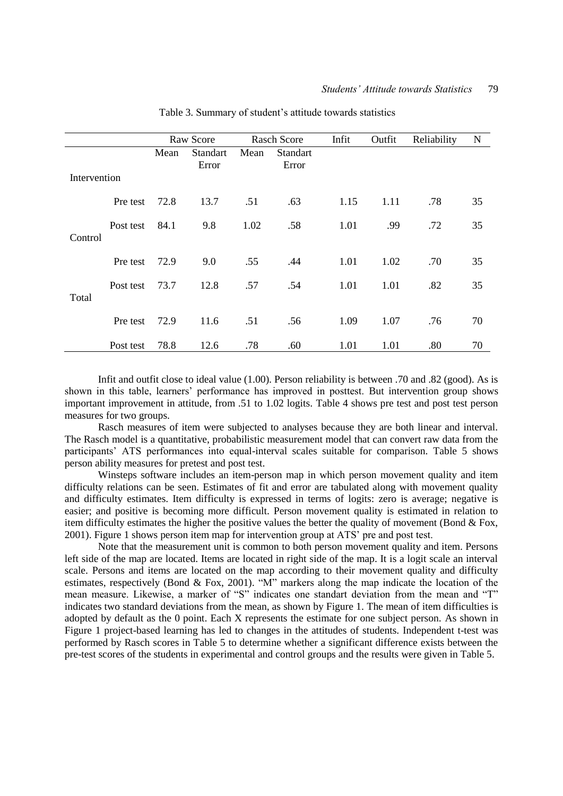|              |           |      | Raw Score                |      | <b>Rasch Score</b>       | Infit | Outfit | Reliability | N  |
|--------------|-----------|------|--------------------------|------|--------------------------|-------|--------|-------------|----|
|              |           | Mean | <b>Standart</b><br>Error | Mean | <b>Standart</b><br>Error |       |        |             |    |
| Intervention |           |      |                          |      |                          |       |        |             |    |
|              | Pre test  | 72.8 | 13.7                     | .51  | .63                      | 1.15  | 1.11   | .78         | 35 |
| Control      | Post test | 84.1 | 9.8                      | 1.02 | .58                      | 1.01  | .99    | .72         | 35 |
|              | Pre test  | 72.9 | 9.0                      | .55  | .44                      | 1.01  | 1.02   | .70         | 35 |
| Total        | Post test | 73.7 | 12.8                     | .57  | .54                      | 1.01  | 1.01   | .82         | 35 |
|              | Pre test  | 72.9 | 11.6                     | .51  | .56                      | 1.09  | 1.07   | .76         | 70 |
|              | Post test | 78.8 | 12.6                     | .78  | .60                      | 1.01  | 1.01   | .80         | 70 |

Table 3. Summary of student's attitude towards statistics

Infit and outfit close to ideal value (1.00). Person reliability is between .70 and .82 (good). As is shown in this table, learners' performance has improved in posttest. But intervention group shows important improvement in attitude, from .51 to 1.02 logits. Table 4 shows pre test and post test person measures for two groups.

Rasch measures of item were subjected to analyses because they are both linear and interval. The Rasch model is a quantitative, probabilistic measurement model that can convert raw data from the participants' ATS performances into equal-interval scales suitable for comparison. Table 5 shows person ability measures for pretest and post test.

Winsteps software includes an item-person map in which person movement quality and item difficulty relations can be seen. Estimates of fit and error are tabulated along with movement quality and difficulty estimates. Item difficulty is expressed in terms of logits: zero is average; negative is easier; and positive is becoming more difficult. Person movement quality is estimated in relation to item difficulty estimates the higher the positive values the better the quality of movement (Bond & Fox, 2001). Figure 1 shows person item map for intervention group at ATS' pre and post test.

Note that the measurement unit is common to both person movement quality and item. Persons left side of the map are located. Items are located in right side of the map. It is a logit scale an interval scale. Persons and items are located on the map according to their movement quality and difficulty estimates, respectively (Bond & Fox, 2001). "M" markers along the map indicate the location of the mean measure. Likewise, a marker of "S" indicates one standart deviation from the mean and "T" indicates two standard deviations from the mean, as shown by Figure 1. The mean of item difficulties is adopted by default as the 0 point. Each X represents the estimate for one subject person. As shown in Figure 1 project-based learning has led to changes in the attitudes of students. Independent t-test was performed by Rasch scores in Table 5 to determine whether a significant difference exists between the pre-test scores of the students in experimental and control groups and the results were given in Table 5.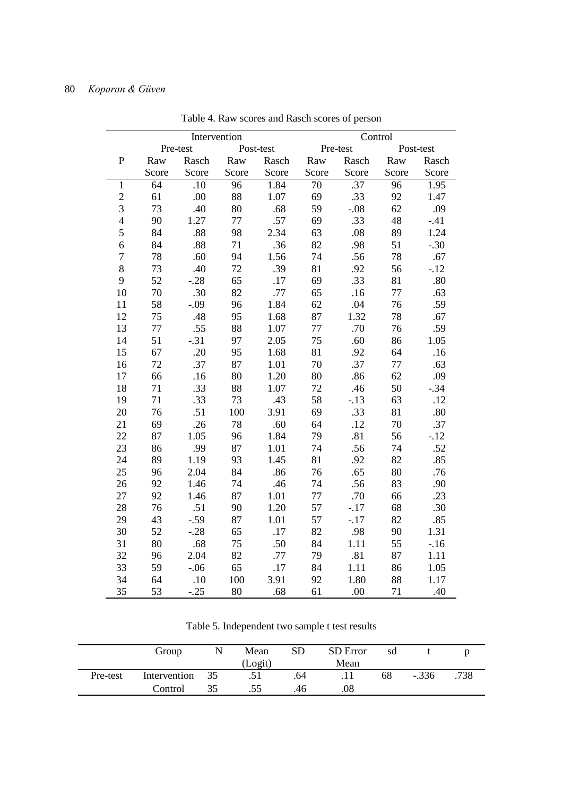|                |       |          | Intervention |           |       | Control          |       |           |
|----------------|-------|----------|--------------|-----------|-------|------------------|-------|-----------|
|                |       | Pre-test |              | Post-test |       | Pre-test         |       | Post-test |
| $\overline{P}$ | Raw   | Rasch    | Raw          | Rasch     | Raw   | Rasch            | Raw   | Rasch     |
|                | Score | Score    | Score        | Score     | Score | Score            | Score | Score     |
| $\mathbf{1}$   | 64    | .10      | 96           | 1.84      | 70    | $\overline{.37}$ | 96    | 1.95      |
| $\overline{2}$ | 61    | .00      | 88           | 1.07      | 69    | .33              | 92    | 1.47      |
| 3              | 73    | .40      | 80           | .68       | 59    | $-.08$           | 62    | .09       |
| $\overline{4}$ | 90    | 1.27     | 77           | .57       | 69    | .33              | 48    | $-41$     |
| 5              | 84    | .88      | 98           | 2.34      | 63    | .08              | 89    | 1.24      |
| 6              | 84    | .88      | 71           | .36       | 82    | .98              | 51    | $-.30$    |
| 7              | 78    | .60      | 94           | 1.56      | 74    | .56              | 78    | .67       |
| 8              | 73    | .40      | 72           | .39       | 81    | .92              | 56    | $-12$     |
| 9              | 52    | $-.28$   | 65           | .17       | 69    | .33              | 81    | .80       |
| 10             | 70    | .30      | 82           | .77       | 65    | .16              | 77    | .63       |
| 11             | 58    | $-0.09$  | 96           | 1.84      | 62    | .04              | 76    | .59       |
| 12             | 75    | .48      | 95           | 1.68      | 87    | 1.32             | 78    | .67       |
| 13             | 77    | .55      | 88           | 1.07      | 77    | .70              | 76    | .59       |
| 14             | 51    | $-.31$   | 97           | 2.05      | 75    | .60              | 86    | 1.05      |
| 15             | 67    | .20      | 95           | 1.68      | 81    | .92              | 64    | .16       |
| 16             | 72    | .37      | 87           | 1.01      | 70    | .37              | 77    | .63       |
| 17             | 66    | .16      | 80           | 1.20      | 80    | .86              | 62    | .09       |
| 18             | 71    | .33      | 88           | 1.07      | 72    | .46              | 50    | $-.34$    |
| 19             | 71    | .33      | 73           | .43       | 58    | $-.13$           | 63    | .12       |
| 20             | 76    | .51      | 100          | 3.91      | 69    | .33              | 81    | .80       |
| 21             | 69    | .26      | 78           | .60       | 64    | .12              | 70    | .37       |
| 22             | 87    | 1.05     | 96           | 1.84      | 79    | .81              | 56    | $-12$     |
| 23             | 86    | .99      | 87           | 1.01      | 74    | .56              | 74    | .52       |
| 24             | 89    | 1.19     | 93           | 1.45      | 81    | .92              | 82    | .85       |
| 25             | 96    | 2.04     | 84           | .86       | 76    | .65              | 80    | .76       |
| 26             | 92    | 1.46     | 74           | .46       | 74    | .56              | 83    | .90       |
| 27             | 92    | 1.46     | 87           | 1.01      | 77    | .70              | 66    | .23       |
| 28             | 76    | .51      | 90           | 1.20      | 57    | $-.17$           | 68    | .30       |
| 29             | 43    | $-.59$   | 87           | 1.01      | 57    | $-.17$           | 82    | .85       |
| 30             | 52    | $-.28$   | 65           | .17       | 82    | .98              | 90    | 1.31      |
| 31             | 80    | .68      | 75           | .50       | 84    | 1.11             | 55    | $-16$     |
| 32             | 96    | 2.04     | 82           | .77       | 79    | .81              | 87    | 1.11      |
| 33             | 59    | $-.06$   | 65           | .17       | 84    | 1.11             | 86    | 1.05      |
| 34             | 64    | .10      | 100          | 3.91      | 92    | 1.80             | 88    | 1.17      |
| 35             | 53    | $-.25$   | 80           | .68       | 61    | .00              | 71    | .40       |

Table 4. Raw scores and Rasch scores of person

Table 5. Independent two sample t test results

|          | Group           | N | Mean    | <b>SD</b> | SD Error | sd |         |      |
|----------|-----------------|---|---------|-----------|----------|----|---------|------|
|          |                 |   | (Logit) |           | Mean     |    |         |      |
| Pre-test | Intervention 35 |   |         | .64       |          | 68 | $-.336$ | .738 |
|          | Control         |   |         | .46       | .08      |    |         |      |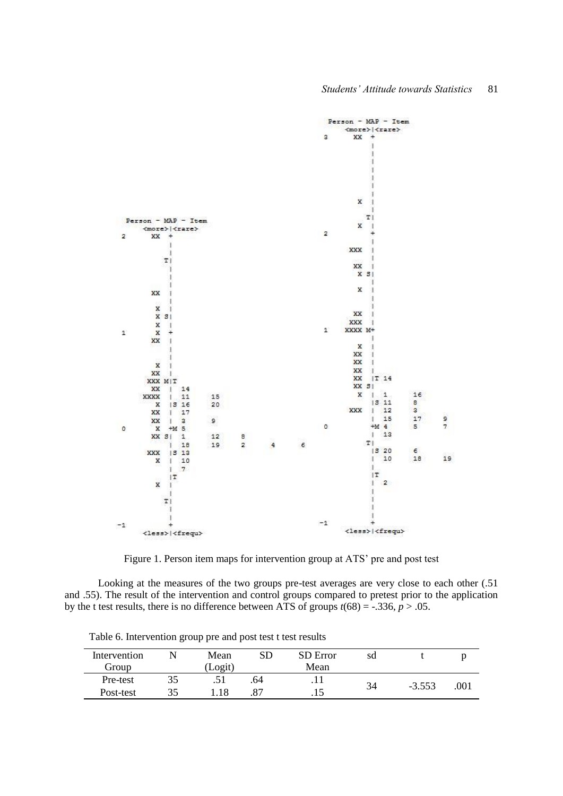

Figure 1. Person item maps for intervention group at ATS' pre and post test

Looking at the measures of the two groups pre-test averages are very close to each other (.51 and .55). The result of the intervention and control groups compared to pretest prior to the application by the t test results, there is no difference between ATS of groups  $t(68) = -.336, p > .05$ .

| Intervention |    | Mean    | SD  | <b>SD</b> Error | sa |          |      |
|--------------|----|---------|-----|-----------------|----|----------|------|
| Group        |    | (Logit) |     | Mean            |    |          |      |
| Pre-test     | 35 |         | .64 | . 1 1           | 34 | $-3.553$ | .001 |
| Post-test    |    | 18      |     | .15             |    |          |      |

Table 6. Intervention group pre and post test t test results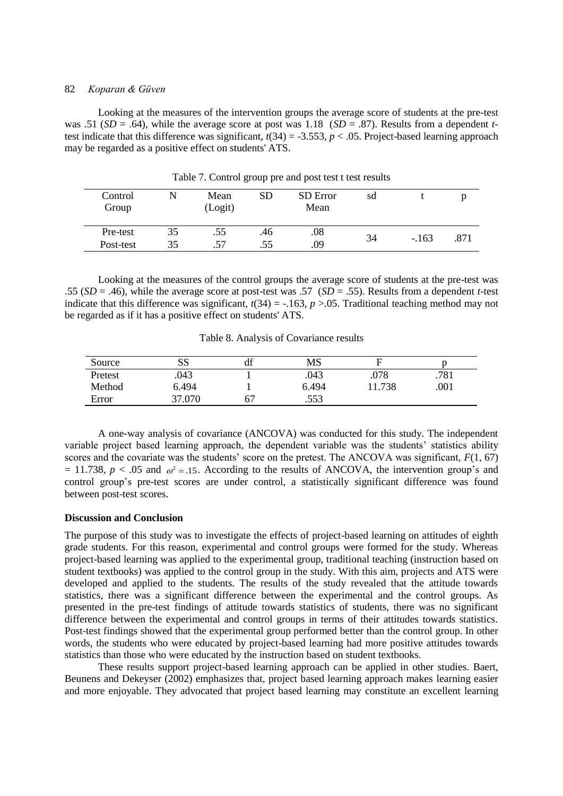Looking at the measures of the intervention groups the average score of students at the pre-test was .51 (*SD* = .64), while the average score at post was 1.18 (*SD* = .87). Results from a dependent *t*test indicate that this difference was significant,  $t(34) = -3.553$ ,  $p < .05$ . Project-based learning approach may be regarded as a positive effect on students' ATS.

|                       |          |                 | $\mathbf{1}$ |                  |    |        |      |
|-----------------------|----------|-----------------|--------------|------------------|----|--------|------|
| Control<br>Group      |          | Mean<br>(Logit) | SD           | SD Error<br>Mean | sd |        |      |
| Pre-test<br>Post-test | 35<br>35 | .55<br>57       | .46<br>.55   | .08<br>.09       | 34 | $-163$ | .871 |

Table 7. Control group pre and post test t test results

Looking at the measures of the control groups the average score of students at the pre-test was .55 (*SD* = .46), while the average score at post-test was .57 (*SD* = .55). Results from a dependent *t*-test indicate that this difference was significant,  $t(34) = -163$ ,  $p > 0.05$ . Traditional teaching method may not be regarded as if it has a positive effect on students' ATS.

Table 8. Analysis of Covariance results

| Source  | SS     | αı | MS    |        |      |
|---------|--------|----|-------|--------|------|
| Pretest | .043   |    | .043  | .078   | .781 |
| Method  | 6.494  |    | 6.494 | 11.738 | .001 |
| Error   | 37.070 | б. | .553  |        |      |

A one-way analysis of covariance (ANCOVA) was conducted for this study. The independent variable project based learning approach, the dependent variable was the students' statistics ability scores and the covariate was the students' score on the pretest. The ANCOVA was significant, *F*(1, 67)  $= 11.738$ ,  $p < .05$  and  $\omega^2 = .15$ . According to the results of ANCOVA, the intervention group's and control group's pre-test scores are under control, a statistically significant difference was found between post-test scores.

### **Discussion and Conclusion**

The purpose of this study was to investigate the effects of project-based learning on attitudes of eighth grade students. For this reason, experimental and control groups were formed for the study. Whereas project-based learning was applied to the experimental group, traditional teaching (instruction based on student textbooks) was applied to the control group in the study. With this aim, projects and ATS were developed and applied to the students. The results of the study revealed that the attitude towards statistics, there was a significant difference between the experimental and the control groups. As presented in the pre-test findings of attitude towards statistics of students, there was no significant difference between the experimental and control groups in terms of their attitudes towards statistics. Post-test findings showed that the experimental group performed better than the control group. In other words, the students who were educated by project-based learning had more positive attitudes towards statistics than those who were educated by the instruction based on student textbooks.

These results support project-based learning approach can be applied in other studies. Baert, Beunens and Dekeyser (2002) emphasizes that, project based learning approach makes learning easier and more enjoyable. They advocated that project based learning may constitute an excellent learning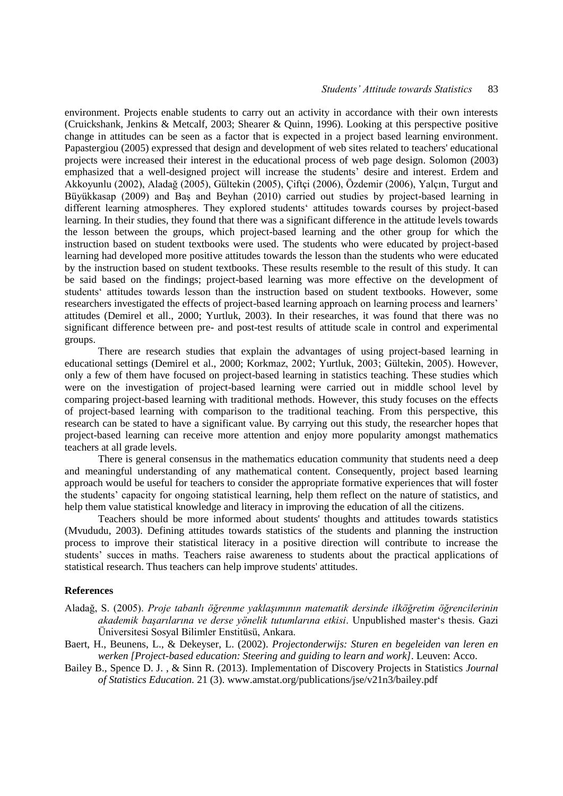environment. Projects enable students to carry out an activity in accordance with their own interests (Cruickshank, Jenkins & Metcalf, 2003; Shearer & Quinn, 1996). Looking at this perspective positive change in attitudes can be seen as a factor that is expected in a project based learning environment. Papastergiou (2005) expressed that design and development of web sites related to teachers' educational projects were increased their interest in the educational process of web page design. Solomon (2003) emphasized that a well-designed project will increase the students' desire and interest. Erdem and Akkoyunlu (2002), Aladağ (2005), Gültekin (2005), Çiftçi (2006), Özdemir (2006), Yalçın, Turgut and Büyükkasap (2009) and Baş and Beyhan (2010) carried out studies by project-based learning in different learning atmospheres. They explored students' attitudes towards courses by project-based learning. In their studies, they found that there was a significant difference in the attitude levels towards the lesson between the groups, which project-based learning and the other group for which the instruction based on student textbooks were used. The students who were educated by project-based learning had developed more positive attitudes towards the lesson than the students who were educated by the instruction based on student textbooks. These results resemble to the result of this study. It can be said based on the findings; project-based learning was more effective on the development of students' attitudes towards lesson than the instruction based on student textbooks. However, some researchers investigated the effects of project-based learning approach on learning process and learners' attitudes (Demirel et all., 2000; Yurtluk, 2003). In their researches, it was found that there was no significant difference between pre- and post-test results of attitude scale in control and experimental groups.

There are research studies that explain the advantages of using project-based learning in educational settings (Demirel et al., 2000; Korkmaz, 2002; Yurtluk, 2003; Gültekin, 2005). However, only a few of them have focused on project-based learning in statistics teaching. These studies which were on the investigation of project-based learning were carried out in middle school level by comparing project-based learning with traditional methods. However, this study focuses on the effects of project-based learning with comparison to the traditional teaching. From this perspective, this research can be stated to have a significant value. By carrying out this study, the researcher hopes that project-based learning can receive more attention and enjoy more popularity amongst mathematics teachers at all grade levels.

There is general consensus in the mathematics education community that students need a deep and meaningful understanding of any mathematical content. Consequently, project based learning approach would be useful for teachers to consider the appropriate formative experiences that will foster the students' capacity for ongoing statistical learning, help them reflect on the nature of statistics, and help them value statistical knowledge and literacy in improving the education of all the citizens.

Teachers should be more informed about students' thoughts and attitudes towards statistics (Mvududu, 2003). Defining attitudes towards statistics of the students and planning the instruction process to improve their statistical literacy in a positive direction will contribute to increase the students' succes in maths. Teachers raise awareness to students about the practical applications of statistical research. Thus teachers can help improve students' attitudes.

### **References**

- Aladağ, S. (2005). *Proje tabanlı öğrenme yaklaşımının matematik dersinde ilköğretim öğrencilerinin akademik başarılarına ve derse yönelik tutumlarına etkisi*. Unpublished master's thesis. Gazi Üniversitesi Sosyal Bilimler Enstitüsü, Ankara.
- Baert, H., Beunens, L., & Dekeyser, L. (2002). *Projectonderwijs: Sturen en begeleiden van leren en werken [Project-based education: Steering and guiding to learn and work]*. Leuven: Acco.
- Bailey B., Spence D. J. , & Sinn R. (2013). Implementation of Discovery Projects in Statistics *Journal of Statistics Education.* 21 (3). [www.amstat.org/publications/jse/v21n3/bailey.pdf](http://www.amstat.org/publications/jse/v21n3/bailey.pdf)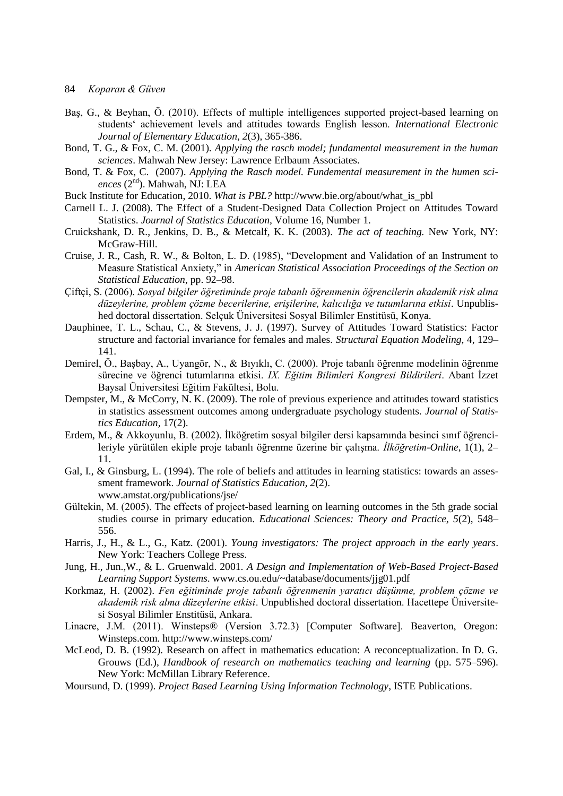- 84 *Koparan & Güven*
- Baş, G., & Beyhan, Ö. (2010). Effects of multiple intelligences supported project-based learning on students' achievement levels and attitudes towards English lesson. *International Electronic Journal of Elementary Education*, *2*(3), 365-386.
- Bond, T. G., & Fox, C. M. (2001). *Applying the rasch model; fundamental measurement in the human sciences*. Mahwah New Jersey: Lawrence Erlbaum Associates.
- Bond, T. & Fox, C. (2007). *Applying the Rasch model. Fundemental measurement in the humen sciences* (2nd). Mahwah, NJ: LEA
- Buck Institute for Education, 2010. *What is PBL?* http://www.bie.org/about/what\_is\_pbl
- Carnell L. J. (2008). The Effect of a Student-Designed Data Collection Project on Attitudes Toward Statistics. *Journal of Statistics Education,* Volume 16, Number 1.
- Cruickshank, D. R., Jenkins, D. B., & Metcalf, K. K. (2003). *The act of teaching.* New York, NY: McGraw-Hill.
- Cruise, J. R., Cash, R. W., & Bolton, L. D. (1985), "Development and Validation of an Instrument to Measure Statistical Anxiety," in *American Statistical Association Proceedings of the Section on Statistical Education*, pp. 92–98.
- Çiftçi, S. (2006). *Sosyal bilgiler öğretiminde proje tabanlı öğrenmenin öğrencilerin akademik risk alma düzeylerine, problem çözme becerilerine, erişilerine, kalıcılığa ve tutumlarına etkisi*. Unpublished doctoral dissertation. Selçuk Üniversitesi Sosyal Bilimler Enstitüsü, Konya.
- Dauphinee, T. L., Schau, C., & Stevens, J. J. (1997). Survey of Attitudes Toward Statistics: Factor structure and factorial invariance for females and males. *Structural Equation Modeling,* 4, 129– 141.
- Demirel, Ö., Başbay, A., Uyangör, N., & Bıyıklı, C. (2000). Proje tabanlı öğrenme modelinin öğrenme sürecine ve öğrenci tutumlarına etkisi. *IX. Eğitim Bilimleri Kongresi Bildirileri*. Abant İzzet Baysal Üniversitesi Eğitim Fakültesi, Bolu.
- Dempster, M., & McCorry, N. K. (2009). The role of previous experience and attitudes toward statistics in statistics assessment outcomes among undergraduate psychology students. *Journal of Statistics Education,* 17(2).
- Erdem, M., & Akkoyunlu, B. (2002). İlköğretim sosyal bilgiler dersi kapsamında besinci sınıf öğrencileriyle yürütülen ekiple proje tabanlı öğrenme üzerine bir çalışma. *İlköğretim-Online*, 1(1), 2– 11.
- Gal, I., & Ginsburg, L. (1994). The role of beliefs and attitudes in learning statistics: towards an assessment framework. *Journal of Statistics Education, 2*(2). www.amstat.org/publications/jse/
- Gültekin, M. (2005). The effects of project-based learning on learning outcomes in the 5th grade social studies course in primary education. *Educational Sciences: Theory and Practice, 5*(2), 548– 556.
- Harris, J., H., & L., G., Katz. (2001). *Young investigators: The project approach in the early years*. New York: Teachers College Press.
- Jung, H., Jun.,W., & L. Gruenwald. 2001. *A Design and Implementation of Web-Based Project-Based Learning Support Systems*. www.cs.ou.edu/~database/documents/jjg01.pdf
- Korkmaz, H. (2002). *Fen eğitiminde proje tabanlı öğrenmenin yaratıcı düşünme, problem çözme ve akademik risk alma düzeylerine etkisi*. Unpublished doctoral dissertation. Hacettepe Üniversitesi Sosyal Bilimler Enstitüsü, Ankara.
- Linacre, J.M. (2011). Winsteps® (Version 3.72.3) [Computer Software]. Beaverton, Oregon: Winsteps.com. http://www.winsteps.com/
- McLeod, D. B. (1992). Research on affect in mathematics education: A reconceptualization. In D. G. Grouws (Ed.), *Handbook of research on mathematics teaching and learning* (pp. 575–596). New York: McMillan Library Reference.
- Moursund, D. (1999). *Project Based Learning Using Information Technology*, ISTE Publications.